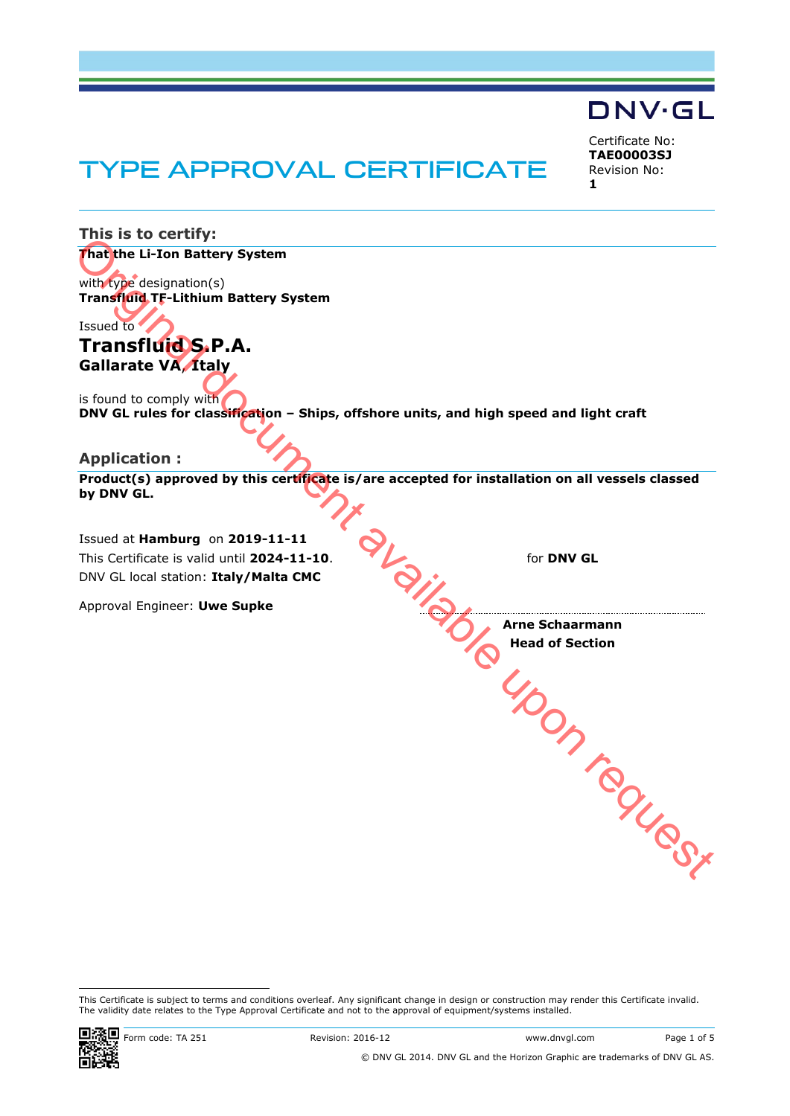# TYPE APPROVAL CERTIFICATE

Certificate No: **TAE00003SJ** Revision No: **1**

DNV·GL

**This is to certify: That the Li-Ion Battery System** with type designation(s) **Transfluid TF-Lithium Battery System** Issued to **Transfluid S.P.A. Gallarate VA**, **Italy** is found to comply with **DNV GL rules for classification – Ships, offshore units, and high speed and light craft Application : Product(s) approved by this certificate is/are accepted for installation on all vessels classed by DNV GL.** Issued at **Hamburg** on **2019-11-11** for **DNV GL Arne Schaarmann** This Certificate is valid until **2024-11-10**. DNV GL local station: **Italy/Malta CMC** Approval Engineer: **Uwe Supke Head of Section** The total document available upon available upon requested to the complete the complete the complete the complete the complete the complete the complete the complete the complete the complete the complete the complete upon

This Certificate is subject to terms and conditions overleaf. Any significant change in design or construction may render this Certificate invalid. The validity date relates to the Type Approval Certificate and not to the approval of equipment/systems installed.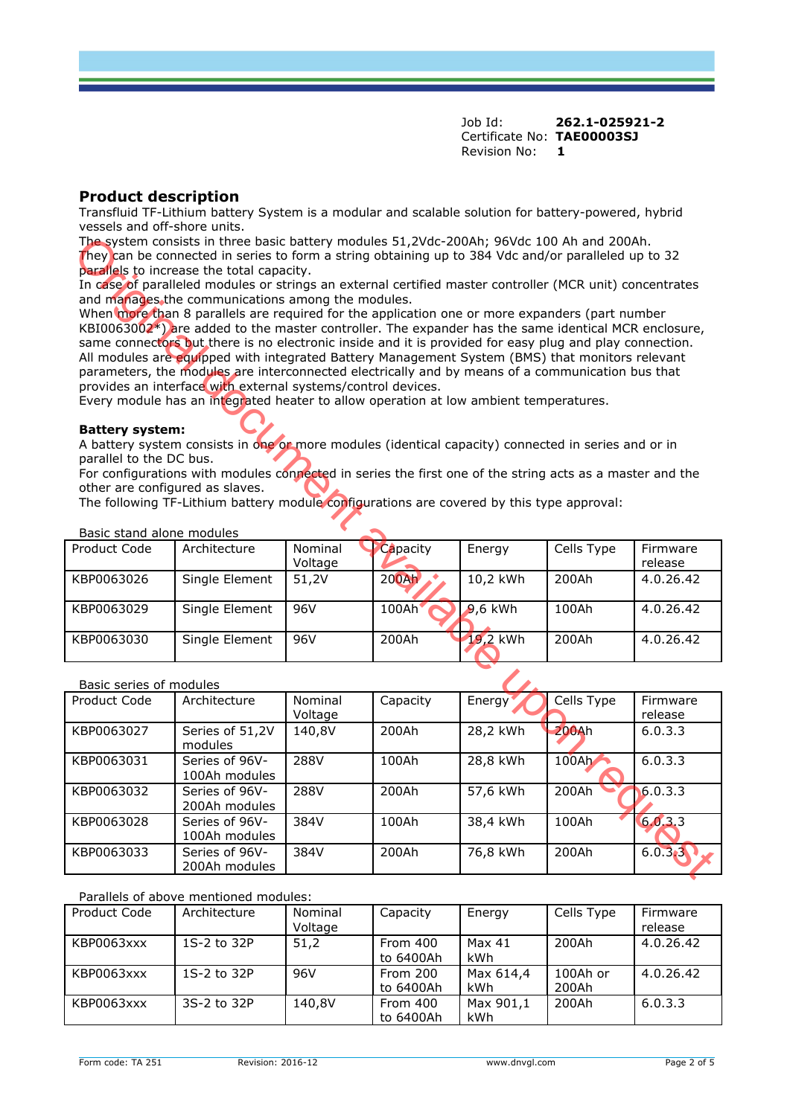# **Product description**

Transfluid TF-Lithium battery System is a modular and scalable solution for battery-powered, hybrid vessels and off-shore units.

#### **Battery system:**

| Product Code | Architecture   | Nominal<br>Voltage | Capacity | Energy    | Cells Type | Firmware<br>release |
|--------------|----------------|--------------------|----------|-----------|------------|---------------------|
| KBP0063026   | Single Element | 51,2V              | $200$ Ah | 10,2 kWh  | 200Ah      | 4.0.26.42           |
| KBP0063029   | Single Element | 96V                | 100Ah'   | $9.6$ kWh | 100Ah      | 4.0.26.42           |
| KBP0063030   | Single Element | 96V                | 200Ah    | 19,2 kWh  | 200Ah      | 4.0.26.42           |

#### Basic series of modules

| The system consists in three basic battery modules 51,2Vdc-200Ah; 96Vdc 100 Ah and 200Ah.<br>They can be connected in series to form a string obtaining up to 384 Vdc and/or paralleled up to 32 |                                                                                                                                                                                                            |         |          |            |                   |           |  |
|--------------------------------------------------------------------------------------------------------------------------------------------------------------------------------------------------|------------------------------------------------------------------------------------------------------------------------------------------------------------------------------------------------------------|---------|----------|------------|-------------------|-----------|--|
|                                                                                                                                                                                                  | parallels to increase the total capacity.<br>In case of paralleled modules or strings an external certified master controller (MCR unit) concentrates                                                      |         |          |            |                   |           |  |
|                                                                                                                                                                                                  | and manages the communications among the modules.                                                                                                                                                          |         |          |            |                   |           |  |
|                                                                                                                                                                                                  | When more than 8 parallels are required for the application one or more expanders (part number                                                                                                             |         |          |            |                   |           |  |
|                                                                                                                                                                                                  | $KB10063002*)$ are added to the master controller. The expander has the same identical MCR enclosure,                                                                                                      |         |          |            |                   |           |  |
|                                                                                                                                                                                                  | same connectors but there is no electronic inside and it is provided for easy plug and play connection.<br>All modules are equipped with integrated Battery Management System (BMS) that monitors relevant |         |          |            |                   |           |  |
|                                                                                                                                                                                                  | parameters, the modules are interconnected electrically and by means of a communication bus that                                                                                                           |         |          |            |                   |           |  |
|                                                                                                                                                                                                  | provides an interface with external systems/control devices.                                                                                                                                               |         |          |            |                   |           |  |
|                                                                                                                                                                                                  | Every module has an integrated heater to allow operation at low ambient temperatures.                                                                                                                      |         |          |            |                   |           |  |
| <b>Battery system:</b>                                                                                                                                                                           |                                                                                                                                                                                                            |         |          |            |                   |           |  |
|                                                                                                                                                                                                  | A battery system consists in one or more modules (identical capacity) connected in series and or in                                                                                                        |         |          |            |                   |           |  |
| parallel to the DC bus.                                                                                                                                                                          |                                                                                                                                                                                                            |         |          |            |                   |           |  |
|                                                                                                                                                                                                  | For configurations with modules connected in series the first one of the string acts as a master and the                                                                                                   |         |          |            |                   |           |  |
| other are configured as slaves.                                                                                                                                                                  |                                                                                                                                                                                                            |         |          |            |                   |           |  |
|                                                                                                                                                                                                  | The following TF-Lithium battery module configurations are covered by this type approval:                                                                                                                  |         |          |            |                   |           |  |
| Basic stand alone modules                                                                                                                                                                        |                                                                                                                                                                                                            |         |          |            |                   |           |  |
| Product Code                                                                                                                                                                                     | Architecture                                                                                                                                                                                               | Nominal | Capacity | Energy     | Cells Type        | Firmware  |  |
|                                                                                                                                                                                                  |                                                                                                                                                                                                            | Voltage |          |            |                   | release   |  |
| KBP0063026                                                                                                                                                                                       | Single Element                                                                                                                                                                                             | 51,2V   | 200Ah    | 10,2 kWh   | 200Ah             | 4.0.26.42 |  |
| KBP0063029                                                                                                                                                                                       | <b>Single Element</b>                                                                                                                                                                                      | 96V     | 100Ah    | $9,6$ kWh  | 100Ah             | 4.0.26.42 |  |
| KBP0063030                                                                                                                                                                                       | Single Element                                                                                                                                                                                             | 96V     | 200Ah    | 19,2 kWh   | 200Ah             | 4.0.26.42 |  |
|                                                                                                                                                                                                  |                                                                                                                                                                                                            |         |          |            |                   |           |  |
| Basic series of modules                                                                                                                                                                          |                                                                                                                                                                                                            |         |          |            |                   |           |  |
| Product Code                                                                                                                                                                                     | Architecture                                                                                                                                                                                               | Nominal | Capacity | Energy     | <b>Cells Type</b> | Firmware  |  |
|                                                                                                                                                                                                  |                                                                                                                                                                                                            | Voltage |          |            |                   | release   |  |
| KBP0063027                                                                                                                                                                                       | Series of 51,2V<br>modules                                                                                                                                                                                 | 140,8V  | 200Ah    | $28,2$ kWh | 200Ah             | 6.0.3.3   |  |
| KBP0063031                                                                                                                                                                                       | Series of 96V-                                                                                                                                                                                             | 288V    | 100Ah    | 28,8 kWh   | $100$ Ah          | 6.0.3.3   |  |
|                                                                                                                                                                                                  | 100Ah modules                                                                                                                                                                                              |         |          |            |                   |           |  |
| KBP0063032                                                                                                                                                                                       | Series of 96V-                                                                                                                                                                                             | 288V    | 200Ah    | 57,6 kWh   | 200Ah             | 6.0.3.3   |  |
|                                                                                                                                                                                                  | 200Ah modules                                                                                                                                                                                              |         |          |            |                   |           |  |
| KBP0063028                                                                                                                                                                                       | Series of 96V-<br>100Ah modules                                                                                                                                                                            | 384V    | 100Ah    | 38,4 kWh   | 100Ah             | 6.0.3.3   |  |
| KBP0063033                                                                                                                                                                                       | Series of 96V-                                                                                                                                                                                             | 384V    | 200Ah    | 76,8 kWh   | 200Ah             | 6.0.3.3   |  |
|                                                                                                                                                                                                  | 200Ah modules                                                                                                                                                                                              |         |          |            |                   |           |  |

Parallels of above mentioned modules:

| Product Code | Architecture | Nominal<br>Voltage | Capacity              | Energy                  | Cells Type        | Firmware<br>release |
|--------------|--------------|--------------------|-----------------------|-------------------------|-------------------|---------------------|
| KBP0063xxx   | 1S-2 to 32P  | 51.2               | From 400<br>to 6400Ah | Max 41<br>kWh           | 200Ah             | 4.0.26.42           |
| KBP0063xxx   | 1S-2 to 32P  | 96V                | From 200<br>to 6400Ah | Max 614,4<br><b>kWh</b> | 100Ah or<br>200Ah | 4.0.26.42           |
| KBP0063xxx   | 3S-2 to 32P  | 140,8V             | From 400<br>to 6400Ah | Max 901,1<br>kWh        | 200Ah             | 6.0.3.3             |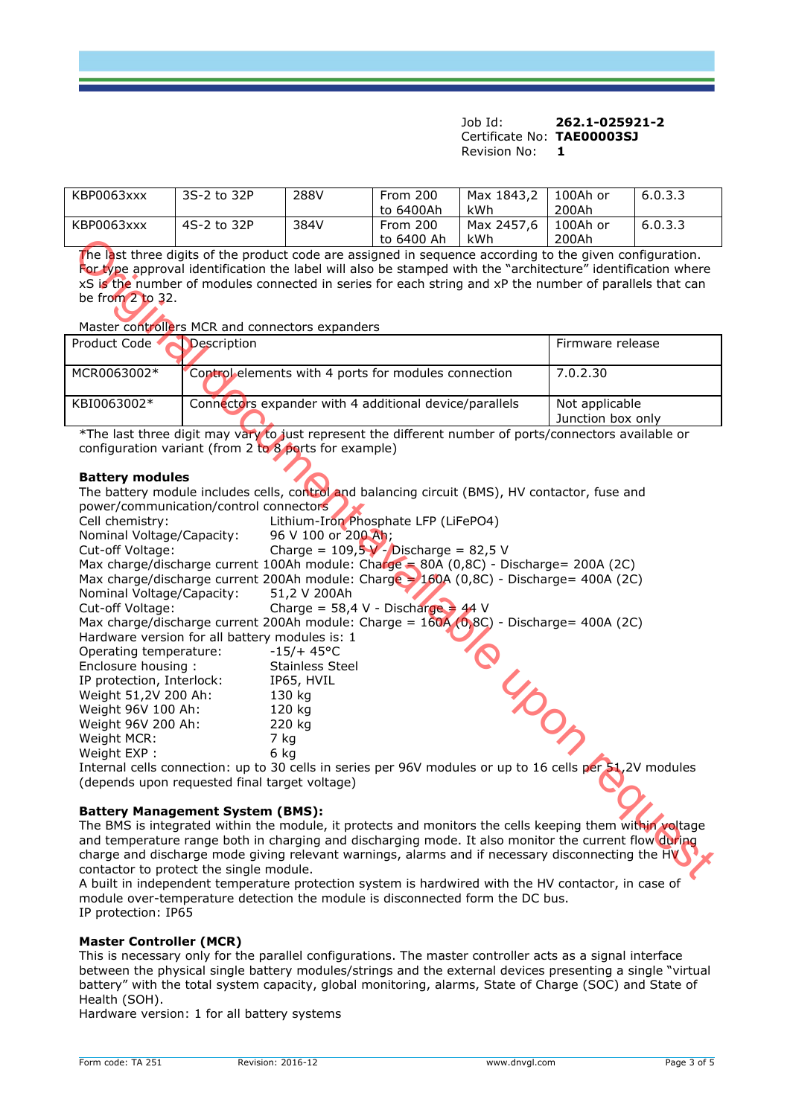| KBP0063xxx | 3S-2 to 32P | 288V | From 200   | Max 1843,2 | 100Ah or | 6.0.3.3 |
|------------|-------------|------|------------|------------|----------|---------|
|            |             |      | to 6400Ah  | kWh        | 200Ah    |         |
| KBP0063xxx | 4S-2 to 32P | 384V | From 200   | Max 2457,6 | 100Ah or | 6.0.3.3 |
|            |             |      | to 6400 Ah | kWh        | 200Ah    |         |

| Product Code ◀ | Description                                            | Firmware release                    |
|----------------|--------------------------------------------------------|-------------------------------------|
| MCR0063002*    | Control elements with 4 ports for modules connection   | l 7.0.2.30                          |
| KBI0063002*    | Connectors expander with 4 additional device/parallels | Not applicable<br>Junction box only |

#### **Battery modules**

|                                                                                                                                                                                                                                                                                                                                     |                                                                                                                                                                                                                                                                                                                                                                                                                                                                                                                                                                                                                                                       |                                                                                                                                                                                                                                                   | to 6400 Ah | kWh             | 200Ah                               |  |
|-------------------------------------------------------------------------------------------------------------------------------------------------------------------------------------------------------------------------------------------------------------------------------------------------------------------------------------|-------------------------------------------------------------------------------------------------------------------------------------------------------------------------------------------------------------------------------------------------------------------------------------------------------------------------------------------------------------------------------------------------------------------------------------------------------------------------------------------------------------------------------------------------------------------------------------------------------------------------------------------------------|---------------------------------------------------------------------------------------------------------------------------------------------------------------------------------------------------------------------------------------------------|------------|-----------------|-------------------------------------|--|
| The last three digits of the product code are assigned in sequence according to the given configuration.<br>For type approval identification the label will also be stamped with the "architecture" identification where<br>xS is the number of modules connected in series for each string and xP the number of parallels that can |                                                                                                                                                                                                                                                                                                                                                                                                                                                                                                                                                                                                                                                       |                                                                                                                                                                                                                                                   |            |                 |                                     |  |
| be from 2 to 32.                                                                                                                                                                                                                                                                                                                    |                                                                                                                                                                                                                                                                                                                                                                                                                                                                                                                                                                                                                                                       |                                                                                                                                                                                                                                                   |            |                 |                                     |  |
| Master controllers MCR and connectors expanders                                                                                                                                                                                                                                                                                     |                                                                                                                                                                                                                                                                                                                                                                                                                                                                                                                                                                                                                                                       |                                                                                                                                                                                                                                                   |            |                 |                                     |  |
| Product Code                                                                                                                                                                                                                                                                                                                        | Description                                                                                                                                                                                                                                                                                                                                                                                                                                                                                                                                                                                                                                           |                                                                                                                                                                                                                                                   |            |                 | Firmware release                    |  |
| MCR0063002*                                                                                                                                                                                                                                                                                                                         | Control elements with 4 ports for modules connection                                                                                                                                                                                                                                                                                                                                                                                                                                                                                                                                                                                                  |                                                                                                                                                                                                                                                   |            |                 | 7.0.2.30                            |  |
| KBI0063002*                                                                                                                                                                                                                                                                                                                         | Connectors expander with 4 additional device/parallels                                                                                                                                                                                                                                                                                                                                                                                                                                                                                                                                                                                                |                                                                                                                                                                                                                                                   |            |                 | Not applicable<br>Junction box only |  |
|                                                                                                                                                                                                                                                                                                                                     | *The last three digit may vary to just represent the different number of ports/connectors available or<br>configuration variant (from 2 to 8 ports for example)                                                                                                                                                                                                                                                                                                                                                                                                                                                                                       |                                                                                                                                                                                                                                                   |            |                 |                                     |  |
| <b>Battery modules</b><br>Cell chemistry:<br>Nominal Voltage/Capacity:<br>Cut-off Voltage:<br>Nominal Voltage/Capacity:<br>Cut-off Voltage:<br>Operating temperature:<br>Enclosure housing :<br>IP protection, Interlock:<br>Weight 51,2V 200 Ah:<br>Weight 96V 100 Ah:<br>Weight 96V 200 Ah:<br>Weight MCR:<br>Weight EXP :        | The battery module includes cells, control and balancing circuit (BMS), HV contactor, fuse and<br>power/communication/control connectors<br>Max charge/discharge current 100Ah module: Charge = $80A(0,8C)$ - Discharge= 200A (2C)<br>Max charge/discharge current 200Ah module: Charge = 160A (0,8C) - Discharge= 400A (2C)<br>Max charge/discharge current 200Ah module: Charge = $160A(0,8C)$ - Discharge= 400A (2C)<br>Hardware version for all battery modules is: 1<br>7 kg<br>6 kg<br>Internal cells connection: up to 30 cells in series per 96V modules or up to 16 cells per 51,2V modules<br>(depends upon requested final target voltage) | Lithium-Iron Phosphate LFP (LiFePO4)<br>96 V 100 or 200 Ah;<br>Charge = $109.5V - Distance = 82.5V$<br>51,2 V 200Ah<br>Charge = $58,4$ V - Discharge = 44 V<br>$-15/+ 45°C$<br><b>Stainless Steel</b><br>IP65, HVIL<br>130 kg<br>120 kg<br>220 kg |            | <b>PULLEDON</b> |                                     |  |
|                                                                                                                                                                                                                                                                                                                                     | <b>Battery Management System (BMS):</b><br>The BMS is integrated within the module, it protects and monitors the cells keeping them within voltage<br>and temperature range both in charging and discharging mode. It also monitor the current flow during<br>charge and discharge mode giving relevant warnings, alarms and if necessary disconnecting the $H\mathbf V$<br>contactor to protect the single module.                                                                                                                                                                                                                                   |                                                                                                                                                                                                                                                   |            |                 |                                     |  |

## **Battery Management System (BMS):**

A built in independent temperature protection system is hardwired with the HV contactor, in case of module over-temperature detection the module is disconnected form the DC bus. IP protection: IP65

## **Master Controller (MCR)**

This is necessary only for the parallel configurations. The master controller acts as a signal interface between the physical single battery modules/strings and the external devices presenting a single "virtual battery" with the total system capacity, global monitoring, alarms, State of Charge (SOC) and State of Health (SOH).

Hardware version: 1 for all battery systems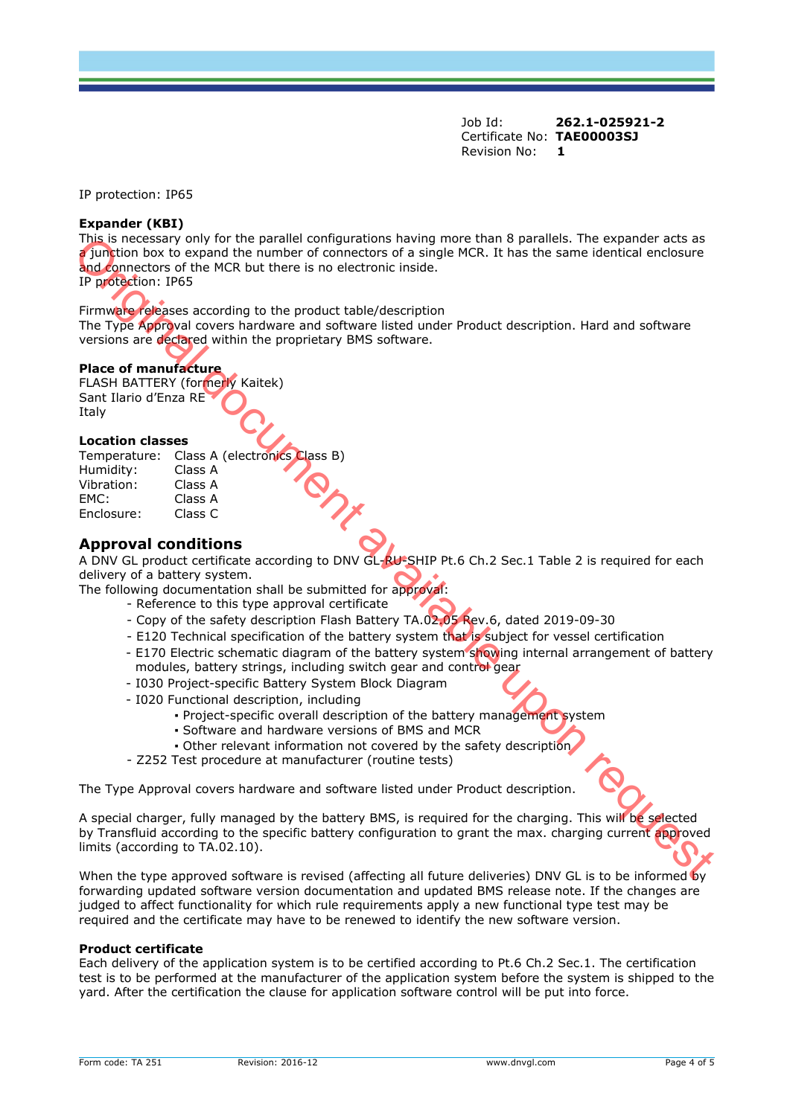IP protection: IP65

#### **Expander (KBI)**

This is necessary only for the parallel configurations having more than 8 parallels. The expander acts as a junction box to expand the number of connectors of a single MCR. It has the same identical enclosure and connectors of the MCR but there is no electronic inside.

IP protection: IP65

Firmware releases according to the product table/description

The Type Approval covers hardware and software listed under Product description. Hard and software versions are declared within the proprietary BMS software.

#### **Place of manufacture**

FLASH BATTERY (formerly Kaitek) Sant Ilario d'Enza RE Italy

#### **Location classes**

|            | Temperature: Class A (electronics Class B) |  |
|------------|--------------------------------------------|--|
| Humidity:  | Class A                                    |  |
| Vibration: | Class A                                    |  |
| FMC:       | Class A                                    |  |
| Enclosure: | Class C                                    |  |

# **Approval conditions**

A DNV GL product certificate according to DNV GL-RU-SHIP Pt.6 Ch.2 Sec.1 Table 2 is required for each delivery of a battery system.

The following documentation shall be submitted for approval:

- Reference to this type approval certificate
- Copy of the safety description Flash Battery TA.02.05 Rev.6, dated 2019-09-30
- E120 Technical specification of the battery system that is subject for vessel certification
- E170 Electric schematic diagram of the battery system showing internal arrangement of battery modules, battery strings, including switch gear and control gear
- I030 Project-specific Battery System Block Diagram
- I020 Functional description, including
	- Project-specific overall description of the battery management system
	- Software and hardware versions of BMS and MCR
	- Other relevant information not covered by the safety description
- Z252 Test procedure at manufacturer (routine tests)

The Type Approval covers hardware and software listed under Product description.

A special charger, fully managed by the battery BMS, is required for the charging. This will be selected by Transfluid according to the specific battery configuration to grant the max. charging current approved limits (according to TA.02.10). Figure is necessary only for the partiel computeriors having more than B parallels. The expendent acts as the MCR but there is no electronic line<br>of the MCR but there is no electronic line of the MCR. It has the same iden

When the type approved software is revised (affecting all future deliveries) DNV GL is to be informed by forwarding updated software version documentation and updated BMS release note. If the changes are judged to affect functionality for which rule requirements apply a new functional type test may be required and the certificate may have to be renewed to identify the new software version.

#### **Product certificate**

Each delivery of the application system is to be certified according to Pt.6 Ch.2 Sec.1. The certification test is to be performed at the manufacturer of the application system before the system is shipped to the yard. After the certification the clause for application software control will be put into force.